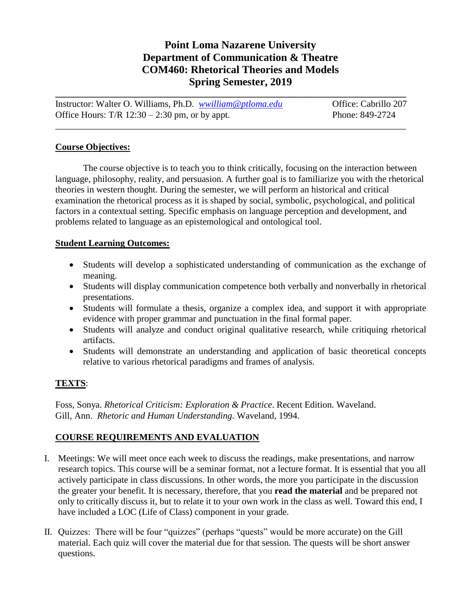# **Point Loma Nazarene University Department of Communication & Theatre COM460: Rhetorical Theories and Models Spring Semester, 2019**

| Instructor: Walter O. Williams, Ph.D. <i>wwilliam@ptloma.edu</i> | Office: Cabrillo 207 |
|------------------------------------------------------------------|----------------------|
| Office Hours: $T/R$ 12:30 – 2:30 pm, or by appt.                 | Phone: 849-2724      |

\_\_\_\_\_\_\_\_\_\_\_\_\_\_\_\_\_\_\_\_\_\_\_\_\_\_\_\_\_\_\_\_\_\_\_\_\_\_\_\_\_\_\_\_\_\_\_\_\_\_\_\_\_\_\_\_\_\_\_\_\_\_\_\_\_\_\_\_\_\_\_\_\_\_\_\_

### **Course Objectives:**

The course objective is to teach you to think critically, focusing on the interaction between language, philosophy, reality, and persuasion. A further goal is to familiarize you with the rhetorical theories in western thought. During the semester, we will perform an historical and critical examination the rhetorical process as it is shaped by social, symbolic, psychological, and political factors in a contextual setting. Specific emphasis on language perception and development, and problems related to language as an epistemological and ontological tool.

### **Student Learning Outcomes:**

- Students will develop a sophisticated understanding of communication as the exchange of meaning.
- Students will display communication competence both verbally and nonverbally in rhetorical presentations.
- Students will formulate a thesis, organize a complex idea, and support it with appropriate evidence with proper grammar and punctuation in the final formal paper.
- Students will analyze and conduct original qualitative research, while critiquing rhetorical artifacts.
- Students will demonstrate an understanding and application of basic theoretical concepts relative to various rhetorical paradigms and frames of analysis.

# **TEXTS**:

Foss, Sonya. *Rhetorical Criticism: Exploration & Practice*. Recent Edition. Waveland. Gill, Ann. *Rhetoric and Human Understanding.* Waveland, 1994.

# **COURSE REQUIREMENTS AND EVALUATION**

- I. Meetings: We will meet once each week to discuss the readings, make presentations, and narrow research topics. This course will be a seminar format, not a lecture format. It is essential that you all actively participate in class discussions. In other words, the more you participate in the discussion the greater your benefit. It is necessary, therefore, that you **read the material** and be prepared not only to critically discuss it, but to relate it to your own work in the class as well. Toward this end, I have included a LOC (Life of Class) component in your grade.
- II. Quizzes: There will be four "quizzes" (perhaps "quests" would be more accurate) on the Gill material. Each quiz will cover the material due for that session. The quests will be short answer questions.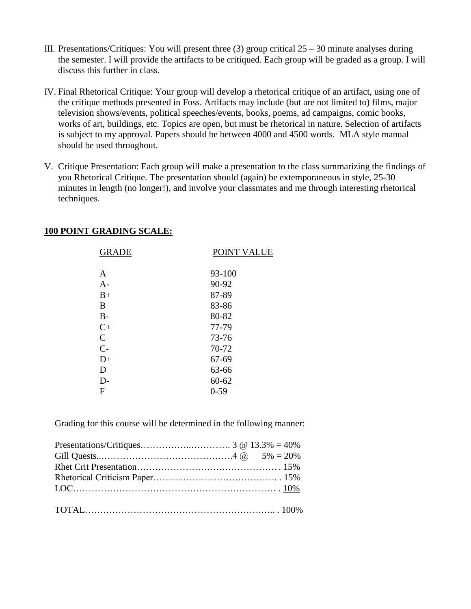- III. Presentations/Critiques: You will present three  $(3)$  group critical  $25 30$  minute analyses during the semester. I will provide the artifacts to be critiqued. Each group will be graded as a group. I will discuss this further in class.
- IV. Final Rhetorical Critique: Your group will develop a rhetorical critique of an artifact, using one of the critique methods presented in Foss. Artifacts may include (but are not limited to) films, major television shows/events, political speeches/events, books, poems, ad campaigns, comic books, works of art, buildings, etc. Topics are open, but must be rhetorical in nature. Selection of artifacts is subject to my approval. Papers should be between 4000 and 4500 words. MLA style manual should be used throughout.
- V. Critique Presentation: Each group will make a presentation to the class summarizing the findings of you Rhetorical Critique. The presentation should (again) be extemporaneous in style, 25-30 minutes in length (no longer!), and involve your classmates and me through interesting rhetorical techniques.

| <b>GRADE</b>  | POINT VALUE |
|---------------|-------------|
| A             | 93-100      |
| $A-$          | 90-92       |
| $B+$          | 87-89       |
| B             | 83-86       |
| $B -$         | 80-82       |
| $C+$          | 77-79       |
| $\mathcal{C}$ | 73-76       |
| $C-$          | 70-72       |
| $D+$          | 67-69       |
| D             | 63-66       |
| D-            | $60 - 62$   |
| F             | $0 - 59$    |
|               |             |

### **100 POINT GRADING SCALE:**

Grading for this course will be determined in the following manner: